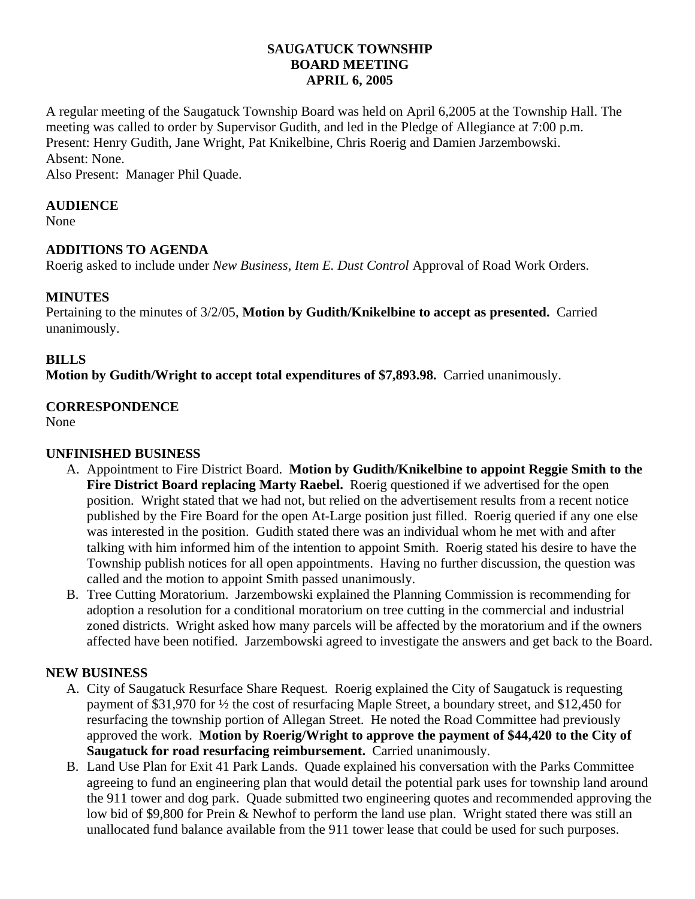## **SAUGATUCK TOWNSHIP BOARD MEETING APRIL 6, 2005**

A regular meeting of the Saugatuck Township Board was held on April 6,2005 at the Township Hall. The meeting was called to order by Supervisor Gudith, and led in the Pledge of Allegiance at 7:00 p.m. Present: Henry Gudith, Jane Wright, Pat Knikelbine, Chris Roerig and Damien Jarzembowski. Absent: None.

Also Present: Manager Phil Quade.

### **AUDIENCE**

None

## **ADDITIONS TO AGENDA**

Roerig asked to include under *New Business, Item E. Dust Control* Approval of Road Work Orders.

## **MINUTES**

Pertaining to the minutes of 3/2/05, **Motion by Gudith/Knikelbine to accept as presented.** Carried unanimously.

#### **BILLS**

**Motion by Gudith/Wright to accept total expenditures of \$7,893.98.** Carried unanimously.

## **CORRESPONDENCE**

None

### **UNFINISHED BUSINESS**

- A. Appointment to Fire District Board. **Motion by Gudith/Knikelbine to appoint Reggie Smith to the Fire District Board replacing Marty Raebel.** Roerig questioned if we advertised for the open position. Wright stated that we had not, but relied on the advertisement results from a recent notice published by the Fire Board for the open At-Large position just filled. Roerig queried if any one else was interested in the position. Gudith stated there was an individual whom he met with and after talking with him informed him of the intention to appoint Smith. Roerig stated his desire to have the Township publish notices for all open appointments. Having no further discussion, the question was called and the motion to appoint Smith passed unanimously.
- B. Tree Cutting Moratorium. Jarzembowski explained the Planning Commission is recommending for adoption a resolution for a conditional moratorium on tree cutting in the commercial and industrial zoned districts. Wright asked how many parcels will be affected by the moratorium and if the owners affected have been notified. Jarzembowski agreed to investigate the answers and get back to the Board.

#### **NEW BUSINESS**

- A. City of Saugatuck Resurface Share Request. Roerig explained the City of Saugatuck is requesting payment of \$31,970 for ½ the cost of resurfacing Maple Street, a boundary street, and \$12,450 for resurfacing the township portion of Allegan Street. He noted the Road Committee had previously approved the work. **Motion by Roerig/Wright to approve the payment of \$44,420 to the City of Saugatuck for road resurfacing reimbursement.** Carried unanimously.
- B. Land Use Plan for Exit 41 Park Lands. Quade explained his conversation with the Parks Committee agreeing to fund an engineering plan that would detail the potential park uses for township land around the 911 tower and dog park. Quade submitted two engineering quotes and recommended approving the low bid of \$9,800 for Prein & Newhof to perform the land use plan. Wright stated there was still an unallocated fund balance available from the 911 tower lease that could be used for such purposes.